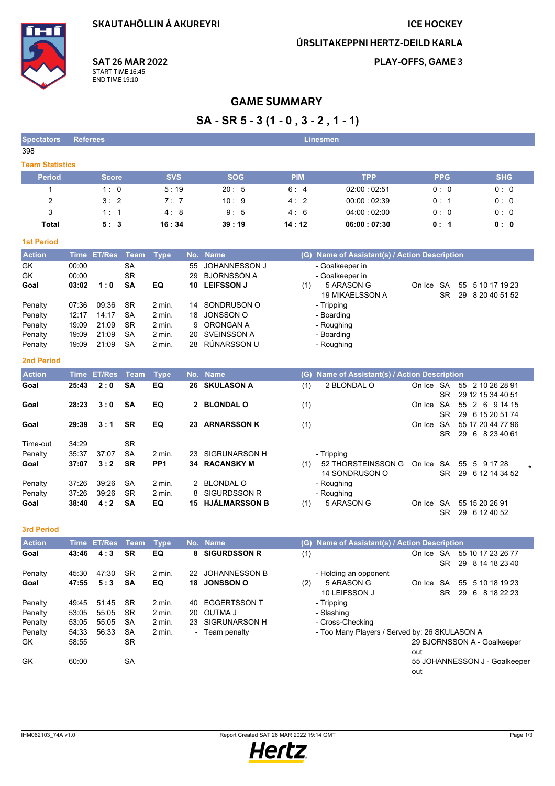**SKAUTAHÖLLIN Á AKUREYRI** 

#### **ICE HOCKEY**

ÚRSLITAKEPPNI HERTZ-DEILD KARLA

14 SONDRUSON O

- Roughing

- Roughing

 $(1)$  5 ARASON G

**SAT 26 MAR 2022** START TIME 16:45 **END TIME 19:10** 

PLAY-OFFS, GAME 3

# **GAME SUMMARY**

## $SA - SR 5 - 3 (1 - 0, 3 - 2, 1 - 1)$

| <b>Spectators</b>      | <b>Referees</b> |               |             |                 |              |                      |            | <b>Linesmen</b>                           |           |            |                   |
|------------------------|-----------------|---------------|-------------|-----------------|--------------|----------------------|------------|-------------------------------------------|-----------|------------|-------------------|
| 398                    |                 |               |             |                 |              |                      |            |                                           |           |            |                   |
| <b>Team Statistics</b> |                 |               |             |                 |              |                      |            |                                           |           |            |                   |
| <b>Period</b>          |                 | <b>Score</b>  |             | <b>SVS</b>      |              | <b>SOG</b>           | <b>PIM</b> | <b>TPP</b>                                |           | <b>PPG</b> | <b>SHG</b>        |
| 1                      |                 | 1:0           |             | 5:19            |              | 20:5                 | 6:4        | 02:00:02:51                               |           | 0:0        | 0: 0              |
| 2                      |                 | 3:2           |             | 7:7             |              | 10:9                 | 4:2        | 00:00:02:39                               |           | 0:1        | 0:0               |
| 3                      |                 | 1:1           |             | 4:8             |              | 9:5                  | 4:6        | 04:00:02:00                               |           | 0:0        | 0:0               |
| <b>Total</b>           |                 | 5:3           |             | 16:34           |              | 39:19                | 14:12      | 06:00:07:30                               |           | 0:1        | 0: 0              |
| <b>1st Period</b>      |                 |               |             |                 |              |                      |            |                                           |           |            |                   |
| <b>Action</b>          | <b>Time</b>     | <b>ET/Res</b> | <b>Team</b> | <b>Type</b>     | No.          | <b>Name</b>          | (G)        | Name of Assistant(s) / Action Description |           |            |                   |
| GK                     | 00:00           |               | <b>SA</b>   |                 | 55           | <b>JOHANNESSON J</b> |            | - Goalkeeper in                           |           |            |                   |
| GK                     | 00:00           |               | <b>SR</b>   |                 | 29           | <b>BJORNSSON A</b>   |            | - Goalkeeper in                           |           |            |                   |
| Goal                   | 03:02           | 1:0           | <b>SA</b>   | EQ              | 10           | <b>LEIFSSON J</b>    | (1)        | 5 ARASON G                                | On Ice    | <b>SA</b>  | 55 5 10 17 19 23  |
|                        |                 |               |             |                 |              |                      |            | <b>19 MIKAELSSON A</b>                    |           | <b>SR</b>  | 29 8 20 40 51 52  |
| Penalty                | 07:36           | 09:36         | <b>SR</b>   | 2 min.          | 14           | SONDRUSON O          |            | - Tripping                                |           |            |                   |
| Penalty                | 12:17           | 14:17         | <b>SA</b>   | $2$ min.        | 18           | <b>JONSSON O</b>     |            | - Boarding                                |           |            |                   |
| Penalty                | 19:09           | 21:09         | <b>SR</b>   | $2$ min.        | 9            | ORONGAN A            |            | - Roughing                                |           |            |                   |
| Penalty                | 19:09           | 21:09         | <b>SA</b>   | $2$ min.        | 20           | <b>SVEINSSON A</b>   |            | - Boarding                                |           |            |                   |
| Penalty                | 19:09           | 21:09         | <b>SA</b>   | 2 min.          | 28           | RÚNARSSON U          |            | - Roughing                                |           |            |                   |
| <b>2nd Period</b>      |                 |               |             |                 |              |                      |            |                                           |           |            |                   |
| <b>Action</b>          | <b>Time</b>     | <b>ET/Res</b> | <b>Team</b> | <b>Type</b>     | No.          | <b>Name</b>          | (G)        | Name of Assistant(s) / Action Description |           |            |                   |
| Goal                   | 25:43           | 2:0           | <b>SA</b>   | EQ              | 26           | <b>SKULASON A</b>    | (1)        | 2 BLONDAL O                               | On Ice SA |            | 55 2 10 26 28 91  |
|                        |                 |               |             |                 |              |                      |            |                                           |           | <b>SR</b>  | 29 12 15 34 40 51 |
| Goal                   | 28:23           | 3:0           | <b>SA</b>   | EQ              | $\mathbf{2}$ | <b>BLONDAL O</b>     | (1)        |                                           | On Ice    | <b>SA</b>  | 55 2 6 9 14 15    |
|                        |                 |               |             |                 |              |                      |            |                                           |           | <b>SR</b>  | 29 6 15 20 51 74  |
| Goal                   | 29:39           | 3:1           | <b>SR</b>   | EQ              | 23           | <b>ARNARSSON K</b>   | (1)        |                                           | On Ice    | <b>SA</b>  | 55 17 20 44 77 96 |
|                        |                 |               |             |                 |              |                      |            |                                           |           | <b>SR</b>  | 29 6 8 23 40 61   |
| Time-out               | 34:29           |               | <b>SR</b>   |                 |              |                      |            |                                           |           |            |                   |
| Penalty                | 35:37           | 37:07         | <b>SA</b>   | 2 min.          | 23           | SIGRUNARSON H        |            | - Tripping                                |           |            |                   |
| Goal                   | 37:07           | 3:2           | <b>SR</b>   | PP <sub>1</sub> | 34           | <b>RACANSKY M</b>    | (1)        | 52 THORSTEINSSON G                        | On Ice SA |            | 55 5 9 17 28      |

3rd Period

37:26 39:26 SA

37:26 39:26 SR

38:40 4:2 SA

2 min. 2 BLONDAL O

EQ

2 min. 8 SIGURDSSON R

**15 HJÁLMARSSON B** 

Penalty

Penalty

Goal

| <b>Action</b> | <b>Time</b> | <b>ET/Res</b> | Team      | Type     |     | No. Name             | (G) Name of Assistant(s) / Action Description                   |
|---------------|-------------|---------------|-----------|----------|-----|----------------------|-----------------------------------------------------------------|
| Goal          | 43:46       | 4:3           | <b>SR</b> | EQ       | 8   | <b>SIGURDSSON R</b>  | (1)<br><b>SA</b><br>55 10 17 23 26 77<br>On Ice                 |
|               |             |               |           |          |     |                      | SR<br>8 14 18 23 40<br>29                                       |
| Penalty       | 45.30       | 47:30         | <b>SR</b> | $2$ min. | 22  | <b>JOHANNESSON B</b> | - Holding an opponent                                           |
| Goal          | 47:55       | 5:3           | <b>SA</b> | EQ       |     | 18 JONSSON O         | 5 ARASON G<br>(2)<br><b>SA</b><br>55<br>5 10 18 19 23<br>On Ice |
|               |             |               |           |          |     |                      | 10 LEIFSSON J<br>6 8 18 22 23<br>SR<br>29                       |
| Penalty       | 49.45       | 51:45         | <b>SR</b> | $2$ min. | 40  | <b>EGGERTSSON T</b>  | - Tripping                                                      |
| Penalty       | 53:05       | 55:05         | <b>SR</b> | $2$ min. | 20. | OUTMA J              | - Slashing                                                      |
| Penalty       | 53:05       | 55:05         | <b>SA</b> | $2$ min. | 23  | SIGRUNARSON H        | - Cross-Checking                                                |
| Penalty       | 54:33       | 56:33         | <b>SA</b> | $2$ min. |     | - Team penalty       | - Too Many Players / Served by: 26 SKULASON A                   |
| GK.           | 58:55       |               | <b>SR</b> |          |     |                      | 29 BJORNSSON A - Goalkeeper                                     |
|               |             |               |           |          |     |                      | out                                                             |
| GK            | 60:00       |               | <b>SA</b> |          |     |                      | 55 JOHANNESSON J - Goalkeeper                                   |
|               |             |               |           |          |     |                      | out                                                             |

Report Created SAT 26 MAR 2022 19:14 GMT



SR 29 6 12 14 34 52

SR 29 6 12 40 52

On Ice SA 55 15 20 26 91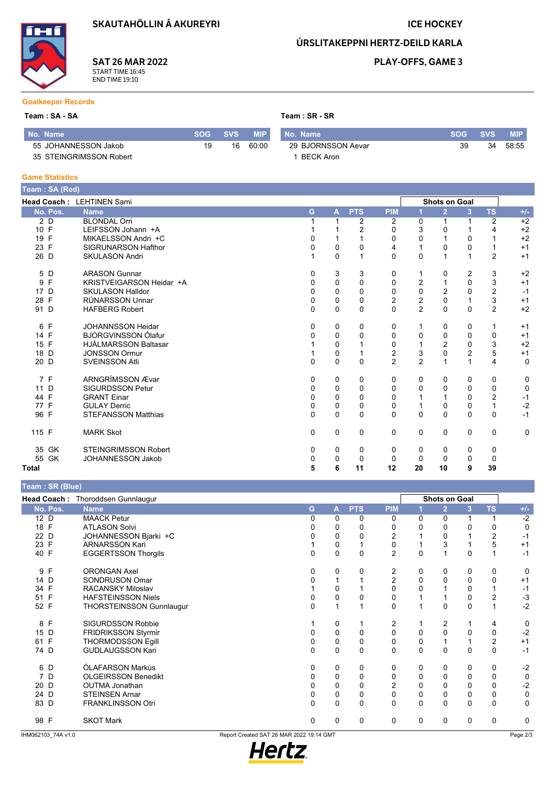**SKAUTAHÖLLIN Á AKUREYRI** 

**SAT 26 MAR 2022** 

START TIME 16:45<br>END TIME 19:10

### **ICE HOCKEY**

ÚRSLITAKEPPNI HERTZ-DEILD KARLA

#### **PLAY-OFFS, GAME 3**

**Goalkeeper Records** 

| Team : SA - SA          | Team : SR - SR |            |            |                    |     |            |            |
|-------------------------|----------------|------------|------------|--------------------|-----|------------|------------|
| No. Name                | <b>SOG</b>     | <b>SVS</b> | <b>MIP</b> | No. Name           | SOG | <b>SVS</b> | <b>MIP</b> |
| 55 JOHANNESSON Jakob    | 19             | 16         | 60:00      | 29 BJORNSSON Aevar | 39  | 34         | 58:55      |
| 35 STEINGRIMSSON Robert |                |            |            | <b>BECK Aron</b>   |     |            |            |

#### **Game Statistics**

| Team: SA (Red) |                             |              |                |                |                |                |                      |                |                |             |
|----------------|-----------------------------|--------------|----------------|----------------|----------------|----------------|----------------------|----------------|----------------|-------------|
|                | Head Coach: LEHTINEN Sami   |              |                |                |                |                | <b>Shots on Goal</b> |                |                |             |
| No. Pos.       | <b>Name</b>                 | G            | $\mathbf{A}$   | <b>PTS</b>     | <b>PIM</b>     |                | $\overline{2}$       | 3              | <b>TS</b>      | $+/-$       |
| 2 D            | <b>BLONDAL Orri</b>         |              |                | $\overline{2}$ | 2              | 0              |                      |                | $\overline{2}$ | $+2$        |
| 10 F           | LEIFSSON Johann +A          |              |                | $\overline{2}$ | $\Omega$       | 3              | $\Omega$             |                | 4              | $+2$        |
| 19 F           | MIKAELSSON Andri +C         | 0            | 1              |                | 0              | 0              | 1                    | $\Omega$       |                | $+2$        |
| 23 F           | <b>SIGRUNARSON Hafthor</b>  | 0            | 0              | 0              | 4              | $\mathbf{1}$   | $\mathbf 0$          | 0              |                | $+1$        |
| 26 D           | <b>SKULASON Andri</b>       |              | 0              | 1              | 0              | 0              | 1                    |                | $\overline{2}$ | $+1$        |
| 5 D            | <b>ARASON Gunnar</b>        | 0            | 3              | 3              | 0              | 1              | 0                    | 2              | 3              | $+2$        |
| 9 F            | KRISTVEIGARSON Heidar +A    | $\Omega$     | 0              | $\mathbf 0$    | 0              | $\overline{2}$ | 1                    | $\Omega$       | 3              | $+1$        |
| 17 D           | <b>SKULASON Halldor</b>     | 0            | 0              | $\mathbf 0$    | 0              | 0              | 2                    | $\mathbf{0}$   | $\overline{c}$ | $-1$        |
| 28 F           | <b>RÚNARSSON Unnar</b>      | 0            | 0              | $\mathbf 0$    | $\overline{2}$ | $\overline{c}$ | $\mathbf 0$          |                | 3              | $+1$        |
| 91 D           | <b>HAFBERG Robert</b>       | $\Omega$     | 0              | $\mathbf 0$    | $\mathbf 0$    | $\overline{2}$ | $\Omega$             | $\mathbf{0}$   | $\overline{2}$ | $+2$        |
| 6 F            | <b>JOHANNSSON Heidar</b>    | $\Omega$     | 0              | 0              | 0              | 1              | 0                    | 0              | 1              | $+1$        |
| 14 F           | <b>BJORGVINSSON Ólafur</b>  | 0            | 0              | 0              | 0              | 0              | 0                    | 0              | $\Omega$       | $+1$        |
| 15 F           | <b>HJÁLMARSSON Baltasar</b> |              | 0              |                | 0              | $\mathbf{1}$   | $\overline{c}$       | $\mathbf{0}$   | 3              | $+2$        |
| 18 D           | <b>JONSSON Ormur</b>        |              | 0              | 1              | 2              | 3              | $\mathbf 0$          | $\overline{c}$ | 5              | $+1$        |
| 20 D           | <b>SVEINSSON Atli</b>       | $\Omega$     | $\mathbf{0}$   | $\Omega$       | $\overline{2}$ | $\overline{2}$ | 1                    |                | 4              | $\mathbf 0$ |
| 7 F            | <b>ARNGRÍMSSON Ævar</b>     | 0            | 0              | 0              | 0              | 0              | 0                    | 0              | 0              | 0           |
| 11 D           | <b>SIGURDSSON Petur</b>     | 0            | 0              | $\Omega$       | 0              | 0              | $\Omega$             | $\Omega$       | $\Omega$       | $\mathbf 0$ |
| 44 F           | <b>GRANT Einar</b>          | 0            | 0              | $\mathbf 0$    | $\mathbf 0$    | 1              | 1                    | $\Omega$       | $\overline{2}$ | $-1$        |
| 77 F           | <b>GULAY Derric</b>         | 0            | 0              | 0              | 0              | 1              | 0                    | 0              | 1              | $-2$        |
| 96 F           | <b>STEFANSSON Matthias</b>  | $\mathbf{0}$ | $\overline{0}$ | $\mathbf 0$    | $\mathbf 0$    | 0              | $\Omega$             | $\mathbf{0}$   | $\Omega$       | $-1$        |
| 115 F          | <b>MARK Skot</b>            | 0            | 0              | $\mathbf 0$    | 0              | 0              | 0                    | 0              | 0              | $\mathbf 0$ |
| 35 GK          | <b>STEINGRIMSSON Robert</b> | 0            | 0              | 0              | 0              | 0              | 0                    | 0              | 0              |             |
| 55 GK          | JOHANNESSON Jakob           | 0            | 0              | $\Omega$       | 0              | 0              | $\Omega$             | $\Omega$       | 0              |             |
| <b>Total</b>   |                             | 5            | 6              | 11             | 12             | 20             | 10                   | 9              | 39             |             |

| Team : SR (Blue) |                                   |              |              |             |                |             |                      |             |                |             |
|------------------|-----------------------------------|--------------|--------------|-------------|----------------|-------------|----------------------|-------------|----------------|-------------|
|                  | Head Coach: Thoroddsen Gunnlaugur |              |              |             |                |             | <b>Shots on Goal</b> |             |                |             |
| No. Pos.         | <b>Name</b>                       | G            | $\mathbf{A}$ | <b>PTS</b>  | <b>PIM</b>     |             | $\overline{2}$       | 3           | <b>TS</b>      | $+/-$       |
| 12 D             | <b>MAACK Petur</b>                | 0            | 0            | 0           | 0              | 0           | 0                    |             |                | $-2$        |
| 18 F             | <b>ATLASON Solvi</b>              | 0            | 0            | 0           | 0              | 0           | 0                    | 0           | 0              | 0           |
| 22 D             | JOHANNESSON Bjarki +C             | 0            | 0            | 0           | 2              |             | 0                    |             | 2              | $-1$        |
| 23 F             | <b>ARNARSSON Kari</b>             |              | 0            |             | 0              |             | 3                    |             | 5              | $+1$        |
| 40 F             | <b>EGGERTSSON Thorgils</b>        | $\mathbf{0}$ | 0            | 0           | $\overline{2}$ | $\mathbf 0$ |                      | 0           |                | $-1$        |
| 9 F              | <b>ORONGAN Axel</b>               | 0            | 0            | 0           | 2              | 0           | 0                    | 0           | 0              | 0           |
| 14 D             | SONDRUSON Omar                    | 0            | $\mathbf{1}$ |             | $\overline{c}$ | $\mathbf 0$ | 0                    | 0           | 0              | $+1$        |
| 34 F             | <b>RACANSKY Miloslav</b>          |              | 0            |             | $\mathbf 0$    | 0           |                      | 0           |                | $-1$        |
| 51 F             | <b>HAFSTEINSSON Niels</b>         | 0            | 0            | 0           | 0              |             |                      | 0           | 2              | $-3$        |
| 52 F             | <b>THORSTEINSSON Gunnlaugur</b>   | $\Omega$     | $\mathbf{1}$ |             | $\mathbf 0$    |             | $\Omega$             | $\Omega$    |                | $-2$        |
| F<br>8           | <b>SIGURDSSON Robbie</b>          |              | 0            |             | 2              |             | 2                    |             | 4              | 0           |
| 15 D             | <b>FRIDRIKSSON Styrmir</b>        | $\Omega$     | 0            | 0           | $\mathbf 0$    | $\mathbf 0$ | 0                    | 0           | 0              | $-2$        |
| 61 F             | <b>THORMODSSON Egill</b>          | 0            | 0            | $\mathbf 0$ | 0              | 0           |                      |             | $\overline{2}$ | $+1$        |
| 74 D             | <b>GUDLAUGSSON Kari</b>           | $\Omega$     | 0            | $\mathbf 0$ | $\mathbf 0$    | $\mathbf 0$ | $\mathbf 0$          | $\Omega$    | $\Omega$       | $-1$        |
| 6 D              | ÓLAFARSON Markús                  | 0            | 0            | 0           | 0              | 0           | 0                    | 0           | 0              | $-2$        |
| 7 D              | <b>OLGEIRSSON Benedikt</b>        | 0            | 0            | 0           | 0              | 0           | $\mathbf 0$          | 0           | 0              | 0           |
| 20 D             | <b>OUTMA Jonathan</b>             | 0            | 0            | 0           | 2              | 0           | 0                    | 0           | $\Omega$       | $-2$        |
| 24 D             | <b>STEINSEN Arnar</b>             | 0            | 0            | $\mathbf 0$ | 0              | 0           | $\mathbf 0$          | $\Omega$    | $\Omega$       | $\mathsf 0$ |
| 83 D             | <b>FRANKLINSSON Otri</b>          | $\mathbf{0}$ | 0            | 0           | $\mathbf 0$    | 0           | 0                    | $\Omega$    | $\Omega$       | $\mathbf 0$ |
| 98 F             | <b>SKOT Mark</b>                  | 0            | 0            | 0           | 0              | $\mathbf 0$ | $\mathbf 0$          | $\mathbf 0$ | 0              | 0           |

IHM062103\_74A v1.0

Report Created SAT 26 MAR 2022 19:14 GMT